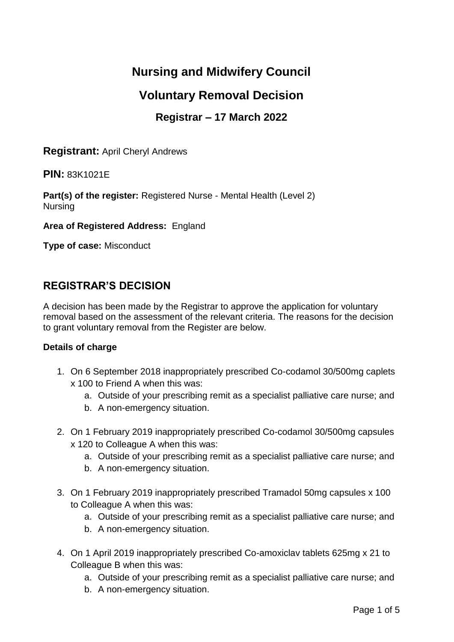# **Nursing and Midwifery Council**

# **Voluntary Removal Decision**

## **Registrar – 17 March 2022**

**Registrant:** April Cheryl Andrews

**PIN:** 83K1021E

**Part(s) of the register:** Registered Nurse - Mental Health (Level 2) Nursing

**Area of Registered Address:** England

**Type of case:** Misconduct

## **REGISTRAR'S DECISION**

A decision has been made by the Registrar to approve the application for voluntary removal based on the assessment of the relevant criteria. The reasons for the decision to grant voluntary removal from the Register are below.

#### **Details of charge**

- 1. On 6 September 2018 inappropriately prescribed Co-codamol 30/500mg caplets x 100 to Friend A when this was:
	- a. Outside of your prescribing remit as a specialist palliative care nurse; and
	- b. A non-emergency situation.
- 2. On 1 February 2019 inappropriately prescribed Co-codamol 30/500mg capsules x 120 to Colleague A when this was:
	- a. Outside of your prescribing remit as a specialist palliative care nurse; and
	- b. A non-emergency situation.
- 3. On 1 February 2019 inappropriately prescribed Tramadol 50mg capsules x 100 to Colleague A when this was:
	- a. Outside of your prescribing remit as a specialist palliative care nurse; and
	- b. A non-emergency situation.
- 4. On 1 April 2019 inappropriately prescribed Co-amoxiclav tablets 625mg x 21 to Colleague B when this was:
	- a. Outside of your prescribing remit as a specialist palliative care nurse; and
	- b. A non-emergency situation.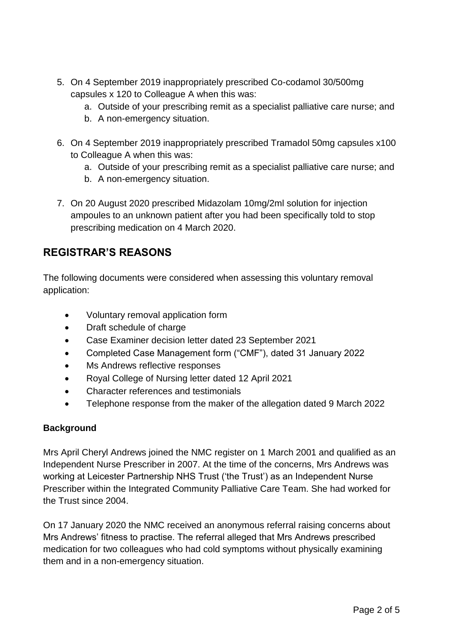- 5. On 4 September 2019 inappropriately prescribed Co-codamol 30/500mg capsules x 120 to Colleague A when this was:
	- a. Outside of your prescribing remit as a specialist palliative care nurse; and
	- b. A non-emergency situation.
- 6. On 4 September 2019 inappropriately prescribed Tramadol 50mg capsules x100 to Colleague A when this was:
	- a. Outside of your prescribing remit as a specialist palliative care nurse; and
	- b. A non-emergency situation.
- 7. On 20 August 2020 prescribed Midazolam 10mg/2ml solution for injection ampoules to an unknown patient after you had been specifically told to stop prescribing medication on 4 March 2020.

## **REGISTRAR'S REASONS**

The following documents were considered when assessing this voluntary removal application:

- Voluntary removal application form
- Draft schedule of charge
- Case Examiner decision letter dated 23 September 2021
- Completed Case Management form ("CMF"), dated 31 January 2022
- Ms Andrews reflective responses
- Royal College of Nursing letter dated 12 April 2021
- Character references and testimonials
- Telephone response from the maker of the allegation dated 9 March 2022

### **Background**

Mrs April Cheryl Andrews joined the NMC register on 1 March 2001 and qualified as an Independent Nurse Prescriber in 2007. At the time of the concerns, Mrs Andrews was working at Leicester Partnership NHS Trust ('the Trust') as an Independent Nurse Prescriber within the Integrated Community Palliative Care Team. She had worked for the Trust since 2004.

On 17 January 2020 the NMC received an anonymous referral raising concerns about Mrs Andrews' fitness to practise. The referral alleged that Mrs Andrews prescribed medication for two colleagues who had cold symptoms without physically examining them and in a non-emergency situation.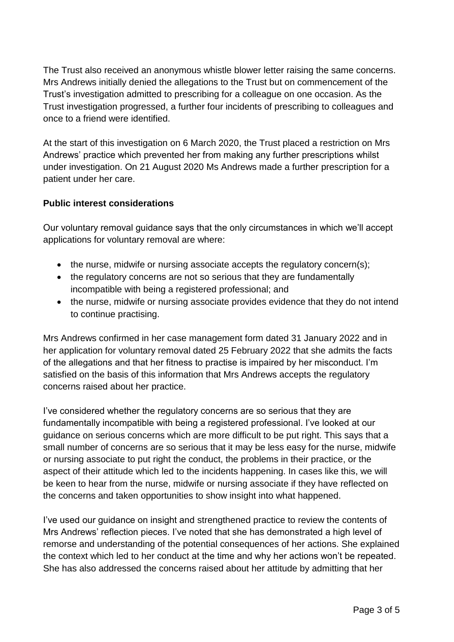The Trust also received an anonymous whistle blower letter raising the same concerns. Mrs Andrews initially denied the allegations to the Trust but on commencement of the Trust's investigation admitted to prescribing for a colleague on one occasion. As the Trust investigation progressed, a further four incidents of prescribing to colleagues and once to a friend were identified.

At the start of this investigation on 6 March 2020, the Trust placed a restriction on Mrs Andrews' practice which prevented her from making any further prescriptions whilst under investigation. On 21 August 2020 Ms Andrews made a further prescription for a patient under her care.

### **Public interest considerations**

Our voluntary removal guidance says that the only circumstances in which we'll accept applications for voluntary removal are where:

- the nurse, midwife or nursing associate accepts the regulatory concern(s);
- the regulatory concerns are not so serious that they are fundamentally incompatible with being a registered professional; and
- the nurse, midwife or nursing associate provides evidence that they do not intend to continue practising.

Mrs Andrews confirmed in her case management form dated 31 January 2022 and in her application for voluntary removal dated 25 February 2022 that she admits the facts of the allegations and that her fitness to practise is impaired by her misconduct. I'm satisfied on the basis of this information that Mrs Andrews accepts the regulatory concerns raised about her practice.

I've considered whether the regulatory concerns are so serious that they are fundamentally incompatible with being a registered professional. I've looked at our guidance on serious concerns which are more difficult to be put right. This says that a small number of concerns are so serious that it may be less easy for the nurse, midwife or nursing associate to put right the conduct, the problems in their practice, or the aspect of their attitude which led to the incidents happening. In cases like this, we will be keen to hear from the nurse, midwife or nursing associate if they have reflected on the concerns and taken opportunities to show insight into what happened.

I've used our guidance on insight and strengthened practice to review the contents of Mrs Andrews' reflection pieces. I've noted that she has demonstrated a high level of remorse and understanding of the potential consequences of her actions. She explained the context which led to her conduct at the time and why her actions won't be repeated. She has also addressed the concerns raised about her attitude by admitting that her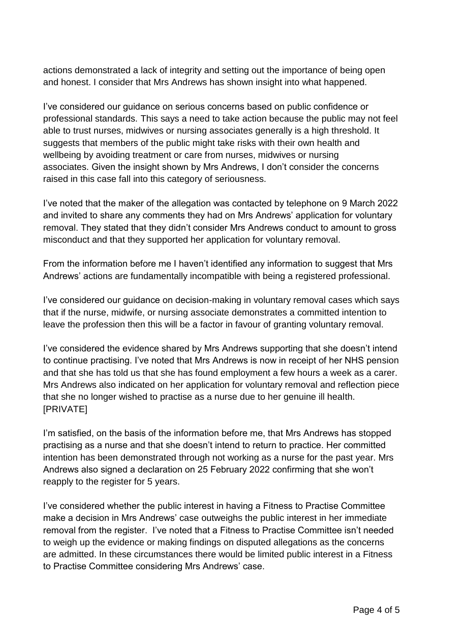actions demonstrated a lack of integrity and setting out the importance of being open and honest. I consider that Mrs Andrews has shown insight into what happened.

I've considered our guidance on serious concerns based on public confidence or professional standards. This says a need to take action because the public may not feel able to trust nurses, midwives or nursing associates generally is a high threshold. It suggests that members of the public might take risks with their own health and wellbeing by avoiding treatment or care from nurses, midwives or nursing associates. Given the insight shown by Mrs Andrews, I don't consider the concerns raised in this case fall into this category of seriousness.

I've noted that the maker of the allegation was contacted by telephone on 9 March 2022 and invited to share any comments they had on Mrs Andrews' application for voluntary removal. They stated that they didn't consider Mrs Andrews conduct to amount to gross misconduct and that they supported her application for voluntary removal.

From the information before me I haven't identified any information to suggest that Mrs Andrews' actions are fundamentally incompatible with being a registered professional.

I've considered our guidance on decision-making in voluntary removal cases which says that if the nurse, midwife, or nursing associate demonstrates a committed intention to leave the profession then this will be a factor in favour of granting voluntary removal.

I've considered the evidence shared by Mrs Andrews supporting that she doesn't intend to continue practising. I've noted that Mrs Andrews is now in receipt of her NHS pension and that she has told us that she has found employment a few hours a week as a carer. Mrs Andrews also indicated on her application for voluntary removal and reflection piece that she no longer wished to practise as a nurse due to her genuine ill health. [PRIVATE]

I'm satisfied, on the basis of the information before me, that Mrs Andrews has stopped practising as a nurse and that she doesn't intend to return to practice. Her committed intention has been demonstrated through not working as a nurse for the past year. Mrs Andrews also signed a declaration on 25 February 2022 confirming that she won't reapply to the register for 5 years.

I've considered whether the public interest in having a Fitness to Practise Committee make a decision in Mrs Andrews' case outweighs the public interest in her immediate removal from the register. I've noted that a Fitness to Practise Committee isn't needed to weigh up the evidence or making findings on disputed allegations as the concerns are admitted. In these circumstances there would be limited public interest in a Fitness to Practise Committee considering Mrs Andrews' case.